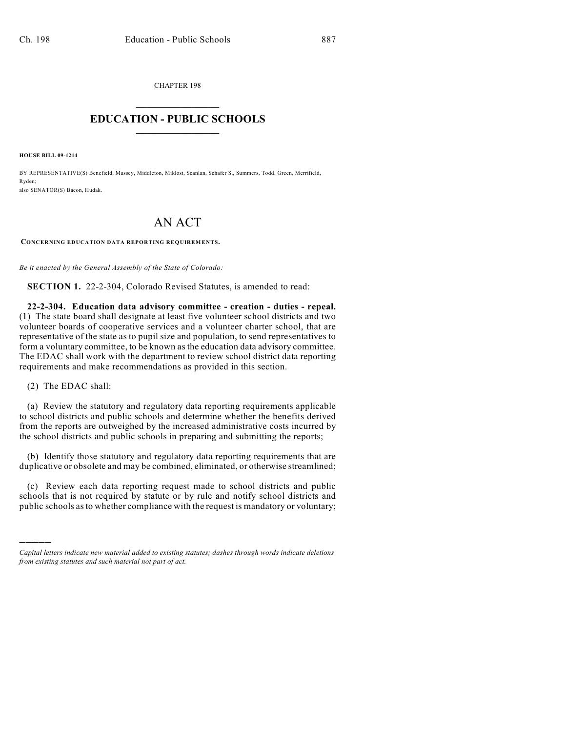CHAPTER 198  $\mathcal{L}_\text{max}$  . The set of the set of the set of the set of the set of the set of the set of the set of the set of the set of the set of the set of the set of the set of the set of the set of the set of the set of the set

## **EDUCATION - PUBLIC SCHOOLS**  $\_$   $\_$   $\_$   $\_$   $\_$   $\_$   $\_$   $\_$   $\_$

**HOUSE BILL 09-1214**

BY REPRESENTATIVE(S) Benefield, Massey, Middleton, Miklosi, Scanlan, Schafer S., Summers, Todd, Green, Merrifield, Ryden; also SENATOR(S) Bacon, Hudak.

## AN ACT

**CONCERNING EDUCATION DATA REPORTING REQUIREMENTS.**

*Be it enacted by the General Assembly of the State of Colorado:*

**SECTION 1.** 22-2-304, Colorado Revised Statutes, is amended to read:

**22-2-304. Education data advisory committee - creation - duties - repeal.** (1) The state board shall designate at least five volunteer school districts and two volunteer boards of cooperative services and a volunteer charter school, that are representative of the state as to pupil size and population, to send representatives to form a voluntary committee, to be known as the education data advisory committee. The EDAC shall work with the department to review school district data reporting requirements and make recommendations as provided in this section.

(2) The EDAC shall:

)))))

(a) Review the statutory and regulatory data reporting requirements applicable to school districts and public schools and determine whether the benefits derived from the reports are outweighed by the increased administrative costs incurred by the school districts and public schools in preparing and submitting the reports;

(b) Identify those statutory and regulatory data reporting requirements that are duplicative or obsolete and may be combined, eliminated, or otherwise streamlined;

(c) Review each data reporting request made to school districts and public schools that is not required by statute or by rule and notify school districts and public schools asto whether compliance with the request is mandatory or voluntary;

*Capital letters indicate new material added to existing statutes; dashes through words indicate deletions from existing statutes and such material not part of act.*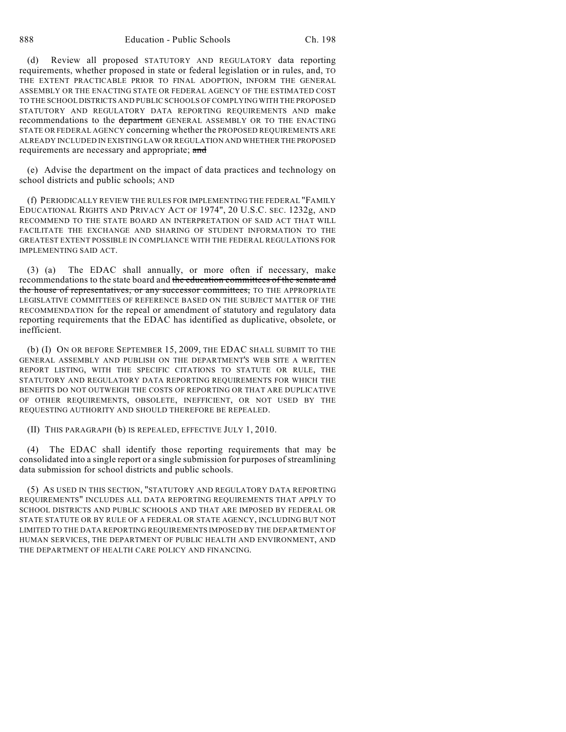(d) Review all proposed STATUTORY AND REGULATORY data reporting requirements, whether proposed in state or federal legislation or in rules, and, TO THE EXTENT PRACTICABLE PRIOR TO FINAL ADOPTION, INFORM THE GENERAL ASSEMBLY OR THE ENACTING STATE OR FEDERAL AGENCY OF THE ESTIMATED COST TO THE SCHOOL DISTRICTS AND PUBLIC SCHOOLS OF COMPLYING WITH THE PROPOSED STATUTORY AND REGULATORY DATA REPORTING REQUIREMENTS AND make recommendations to the department GENERAL ASSEMBLY OR TO THE ENACTING STATE OR FEDERAL AGENCY concerning whether the PROPOSED REQUIREMENTS ARE ALREADY INCLUDED IN EXISTING LAW OR REGULATION AND WHETHER THE PROPOSED requirements are necessary and appropriate; and

(e) Advise the department on the impact of data practices and technology on school districts and public schools; AND

(f) PERIODICALLY REVIEW THE RULES FOR IMPLEMENTING THE FEDERAL "FAMILY EDUCATIONAL RIGHTS AND PRIVACY ACT OF 1974", 20 U.S.C. SEC. 1232g, AND RECOMMEND TO THE STATE BOARD AN INTERPRETATION OF SAID ACT THAT WILL FACILITATE THE EXCHANGE AND SHARING OF STUDENT INFORMATION TO THE GREATEST EXTENT POSSIBLE IN COMPLIANCE WITH THE FEDERAL REGULATIONS FOR IMPLEMENTING SAID ACT.

(3) (a) The EDAC shall annually, or more often if necessary, make recommendations to the state board and the education committees of the senate and the house of representatives, or any successor committees, TO THE APPROPRIATE LEGISLATIVE COMMITTEES OF REFERENCE BASED ON THE SUBJECT MATTER OF THE RECOMMENDATION for the repeal or amendment of statutory and regulatory data reporting requirements that the EDAC has identified as duplicative, obsolete, or inefficient.

(b) (I) ON OR BEFORE SEPTEMBER 15, 2009, THE EDAC SHALL SUBMIT TO THE GENERAL ASSEMBLY AND PUBLISH ON THE DEPARTMENT'S WEB SITE A WRITTEN REPORT LISTING, WITH THE SPECIFIC CITATIONS TO STATUTE OR RULE, THE STATUTORY AND REGULATORY DATA REPORTING REQUIREMENTS FOR WHICH THE BENEFITS DO NOT OUTWEIGH THE COSTS OF REPORTING OR THAT ARE DUPLICATIVE OF OTHER REQUIREMENTS, OBSOLETE, INEFFICIENT, OR NOT USED BY THE REQUESTING AUTHORITY AND SHOULD THEREFORE BE REPEALED.

(II) THIS PARAGRAPH (b) IS REPEALED, EFFECTIVE JULY 1, 2010.

(4) The EDAC shall identify those reporting requirements that may be consolidated into a single report or a single submission for purposes of streamlining data submission for school districts and public schools.

(5) AS USED IN THIS SECTION, "STATUTORY AND REGULATORY DATA REPORTING REQUIREMENTS" INCLUDES ALL DATA REPORTING REQUIREMENTS THAT APPLY TO SCHOOL DISTRICTS AND PUBLIC SCHOOLS AND THAT ARE IMPOSED BY FEDERAL OR STATE STATUTE OR BY RULE OF A FEDERAL OR STATE AGENCY, INCLUDING BUT NOT LIMITED TO THE DATA REPORTING REQUIREMENTS IMPOSED BY THE DEPARTMENT OF HUMAN SERVICES, THE DEPARTMENT OF PUBLIC HEALTH AND ENVIRONMENT, AND THE DEPARTMENT OF HEALTH CARE POLICY AND FINANCING.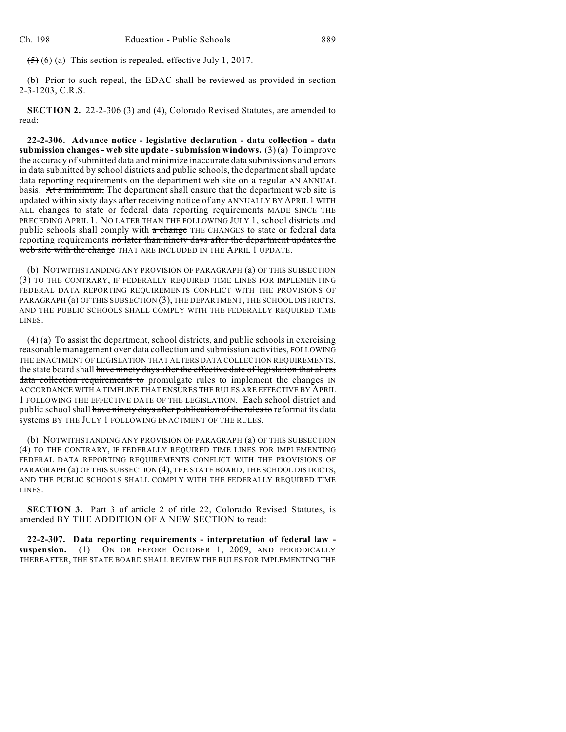$(5)$  (6) (a) This section is repealed, effective July 1, 2017.

(b) Prior to such repeal, the EDAC shall be reviewed as provided in section 2-3-1203, C.R.S.

**SECTION 2.** 22-2-306 (3) and (4), Colorado Revised Statutes, are amended to read:

**22-2-306. Advance notice - legislative declaration - data collection - data submission changes - web site update - submission windows.** (3) (a) To improve the accuracy of submitted data and minimize inaccurate data submissions and errors in data submitted by school districts and public schools, the department shall update data reporting requirements on the department web site on a regular AN ANNUAL basis. At a minimum, The department shall ensure that the department web site is updated within sixty days after receiving notice of any ANNUALLY BY APRIL 1 WITH ALL changes to state or federal data reporting requirements MADE SINCE THE PRECEDING APRIL 1. NO LATER THAN THE FOLLOWING JULY 1, school districts and public schools shall comply with a change THE CHANGES to state or federal data reporting requirements no later than ninety days after the department updates the web site with the change THAT ARE INCLUDED IN THE APRIL 1 UPDATE.

(b) NOTWITHSTANDING ANY PROVISION OF PARAGRAPH (a) OF THIS SUBSECTION (3) TO THE CONTRARY, IF FEDERALLY REQUIRED TIME LINES FOR IMPLEMENTING FEDERAL DATA REPORTING REQUIREMENTS CONFLICT WITH THE PROVISIONS OF PARAGRAPH (a) OF THIS SUBSECTION (3), THE DEPARTMENT, THE SCHOOL DISTRICTS, AND THE PUBLIC SCHOOLS SHALL COMPLY WITH THE FEDERALLY REQUIRED TIME LINES.

(4) (a) To assist the department, school districts, and public schools in exercising reasonable management over data collection and submission activities, FOLLOWING THE ENACTMENT OF LEGISLATION THAT ALTERS DATA COLLECTION REQUIREMENTS, the state board shall have ninety days after the effective date of legislation that alters data collection requirements to promulgate rules to implement the changes IN ACCORDANCE WITH A TIMELINE THAT ENSURES THE RULES ARE EFFECTIVE BY APRIL 1 FOLLOWING THE EFFECTIVE DATE OF THE LEGISLATION. Each school district and public school shall have ninety days after publication of the rules to reformat its data systems BY THE JULY 1 FOLLOWING ENACTMENT OF THE RULES.

(b) NOTWITHSTANDING ANY PROVISION OF PARAGRAPH (a) OF THIS SUBSECTION (4) TO THE CONTRARY, IF FEDERALLY REQUIRED TIME LINES FOR IMPLEMENTING FEDERAL DATA REPORTING REQUIREMENTS CONFLICT WITH THE PROVISIONS OF PARAGRAPH (a) OF THIS SUBSECTION (4), THE STATE BOARD, THE SCHOOL DISTRICTS, AND THE PUBLIC SCHOOLS SHALL COMPLY WITH THE FEDERALLY REQUIRED TIME LINES.

**SECTION 3.** Part 3 of article 2 of title 22, Colorado Revised Statutes, is amended BY THE ADDITION OF A NEW SECTION to read:

**22-2-307. Data reporting requirements - interpretation of federal law suspension.** (1) ON OR BEFORE OCTOBER 1, 2009, AND PERIODICALLY THEREAFTER, THE STATE BOARD SHALL REVIEW THE RULES FOR IMPLEMENTING THE